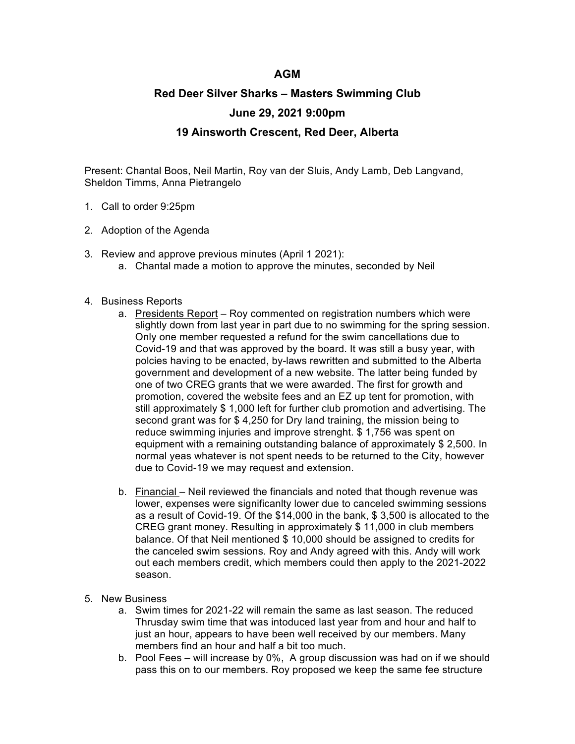## **AGM**

## **Red Deer Silver Sharks – Masters Swimming Club**

## **June 29, 2021 9:00pm**

## **19 Ainsworth Crescent, Red Deer, Alberta**

Present: Chantal Boos, Neil Martin, Roy van der Sluis, Andy Lamb, Deb Langvand, Sheldon Timms, Anna Pietrangelo

- 1. Call to order 9:25pm
- 2. Adoption of the Agenda
- 3. Review and approve previous minutes (April 1 2021):
	- a. Chantal made a motion to approve the minutes, seconded by Neil
- 4. Business Reports
	- a. Presidents Report Roy commented on registration numbers which were slightly down from last year in part due to no swimming for the spring session. Only one member requested a refund for the swim cancellations due to Covid-19 and that was approved by the board. It was still a busy year, with polcies having to be enacted, by-laws rewritten and submitted to the Alberta government and development of a new website. The latter being funded by one of two CREG grants that we were awarded. The first for growth and promotion, covered the website fees and an EZ up tent for promotion, with still approximately \$ 1,000 left for further club promotion and advertising. The second grant was for \$ 4,250 for Dry land training, the mission being to reduce swimming injuries and improve strenght. \$ 1,756 was spent on equipment with a remaining outstanding balance of approximately \$ 2,500. In normal yeas whatever is not spent needs to be returned to the City, however due to Covid-19 we may request and extension.
	- b. Financial Neil reviewed the financials and noted that though revenue was lower, expenses were significanlty lower due to canceled swimming sessions as a result of Covid-19. Of the \$14,000 in the bank, \$ 3,500 is allocated to the CREG grant money. Resulting in approximately \$ 11,000 in club members balance. Of that Neil mentioned \$ 10,000 should be assigned to credits for the canceled swim sessions. Roy and Andy agreed with this. Andy will work out each members credit, which members could then apply to the 2021-2022 season.
- 5. New Business
	- a. Swim times for 2021-22 will remain the same as last season. The reduced Thrusday swim time that was intoduced last year from and hour and half to just an hour, appears to have been well received by our members. Many members find an hour and half a bit too much.
	- b. Pool Fees will increase by 0%, A group discussion was had on if we should pass this on to our members. Roy proposed we keep the same fee structure